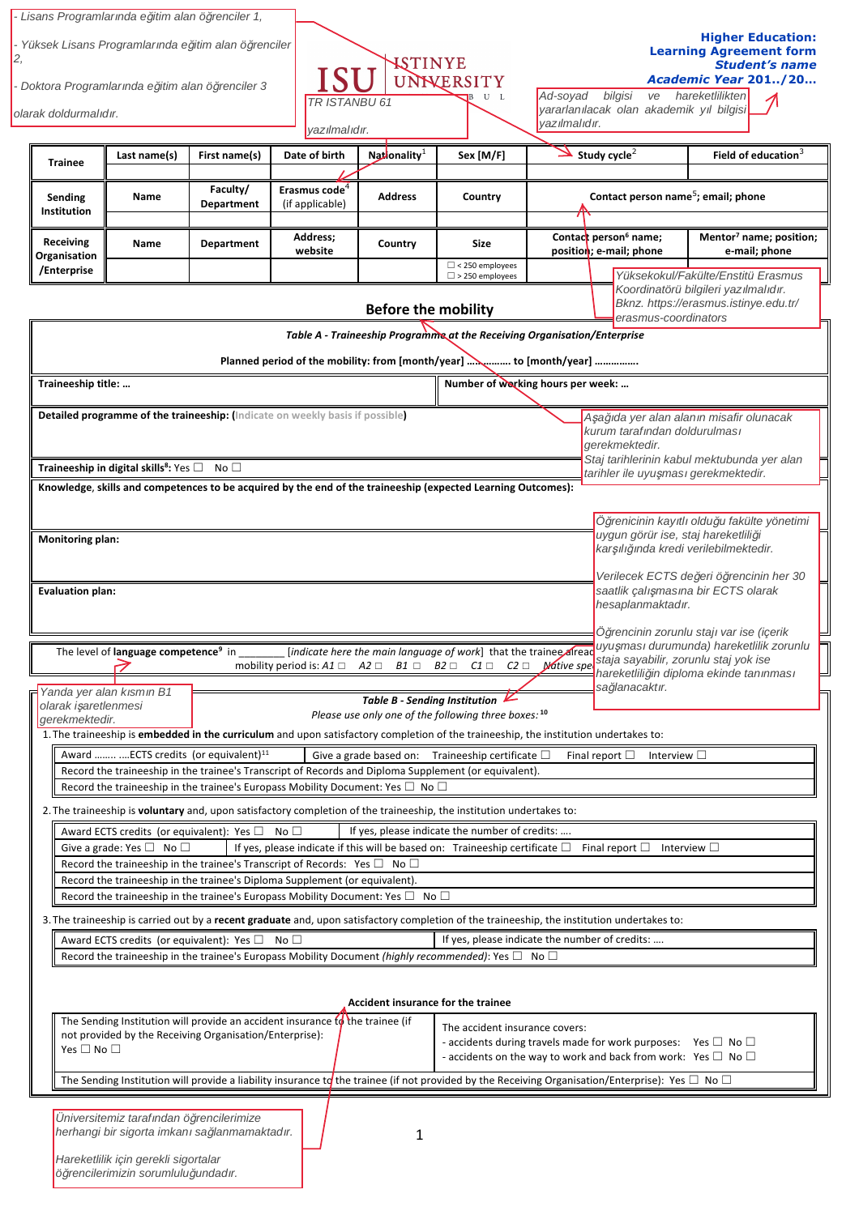| olarak doldurmalıdır.                                                                                                                                    | - Doktora Programlarında eğitim alan öğrenciler 3                                   | - Yüksek Lisans Programlarında eğitim alan öğrenciler          | TR ISTANBU 61<br>yazılmalıdır.                                                                                                                                                | <b>ISTINYE</b>                     | UNIVERSITY<br>$U$ L                                                                                                                                                                                                                                                                                                  | Ad-soyad bilgisi<br>vazılmalıdır. | yararlanılacak olan akademik yıl bilgisi                                                                                                                                           | <b>Learning Agreement form</b><br><b>Student's name</b><br><b>Academic Year 201/20</b><br>ve hareketlilikten                                                                                                             |  |
|----------------------------------------------------------------------------------------------------------------------------------------------------------|-------------------------------------------------------------------------------------|----------------------------------------------------------------|-------------------------------------------------------------------------------------------------------------------------------------------------------------------------------|------------------------------------|----------------------------------------------------------------------------------------------------------------------------------------------------------------------------------------------------------------------------------------------------------------------------------------------------------------------|-----------------------------------|------------------------------------------------------------------------------------------------------------------------------------------------------------------------------------|--------------------------------------------------------------------------------------------------------------------------------------------------------------------------------------------------------------------------|--|
| <b>Trainee</b>                                                                                                                                           | Last name(s)                                                                        | First name(s)                                                  | Date of birth                                                                                                                                                                 | Nationality <sup>1</sup>           | Sex [M/F]                                                                                                                                                                                                                                                                                                            |                                   | Study cycle <sup>2</sup>                                                                                                                                                           | Field of education <sup>3</sup>                                                                                                                                                                                          |  |
| Sending<br>Institution                                                                                                                                   | Name                                                                                | Faculty/<br><b>Department</b>                                  | Erasmus code <sup>4</sup><br>(if applicable)                                                                                                                                  | <b>Address</b>                     | Country                                                                                                                                                                                                                                                                                                              |                                   | Contact person name <sup>5</sup> ; email; phone                                                                                                                                    |                                                                                                                                                                                                                          |  |
| Receiving<br>Organisation                                                                                                                                | Name                                                                                | Department                                                     | Address;<br>website                                                                                                                                                           | Country                            | Size<br>$\Box$ < 250 employees                                                                                                                                                                                                                                                                                       |                                   | Contact person <sup>6</sup> name;<br>position; e-mail; phone                                                                                                                       | Mentor <sup>7</sup> name; position;<br>e-mail; phone                                                                                                                                                                     |  |
| /Enterprise                                                                                                                                              |                                                                                     |                                                                |                                                                                                                                                                               | <b>Before the mobility</b>         | $\Box$ > 250 employees<br>Table A - Traineeship Programme at the Receiving Organisation/Enterprise                                                                                                                                                                                                                   |                                   | erasmus-coordinators                                                                                                                                                               | Yüksekokul/Fakülte/Enstitü Erasmus<br>Koordinatörü bilgileri yazılmalıdır.<br>Bknz. https://erasmus.istinye.edu.tr/                                                                                                      |  |
|                                                                                                                                                          |                                                                                     |                                                                |                                                                                                                                                                               |                                    |                                                                                                                                                                                                                                                                                                                      |                                   |                                                                                                                                                                                    |                                                                                                                                                                                                                          |  |
| Traineeship title:                                                                                                                                       |                                                                                     |                                                                |                                                                                                                                                                               |                                    | Number of working hours per week:                                                                                                                                                                                                                                                                                    |                                   |                                                                                                                                                                                    |                                                                                                                                                                                                                          |  |
| Detailed programme of the traineeship: (Indicate on weekly basis if possible)<br>Traineeship in digital skills <sup>8</sup> : Yes $\square$ No $\square$ |                                                                                     |                                                                |                                                                                                                                                                               |                                    |                                                                                                                                                                                                                                                                                                                      |                                   | Aşağıda yer alan alanın misafir olunacak<br>kurum tarafından doldurulması<br>gerekmektedir.<br>Staj tarihlerinin kabul mektubunda yer alan<br>tarihler ile uyuşması gerekmektedir. |                                                                                                                                                                                                                          |  |
|                                                                                                                                                          |                                                                                     |                                                                |                                                                                                                                                                               |                                    |                                                                                                                                                                                                                                                                                                                      |                                   |                                                                                                                                                                                    |                                                                                                                                                                                                                          |  |
| <b>Monitoring plan:</b><br><b>Evaluation plan:</b>                                                                                                       |                                                                                     |                                                                |                                                                                                                                                                               |                                    |                                                                                                                                                                                                                                                                                                                      |                                   | hesaplanmaktadır.                                                                                                                                                                  | uygun görür ise, staj hareketliliği<br>karşılığında kredi verilebilmektedir.<br>Verilecek ECTS değeri öğrencinin her 30<br>saatlik çalışmasına bir ECTS olarak                                                           |  |
|                                                                                                                                                          | The level of <b>language competence</b> <sup>9</sup> in<br>Yanda yer alan kısmın B1 |                                                                |                                                                                                                                                                               |                                    | [indicate here the main language of work] that the trainee alread                                                                                                                                                                                                                                                    |                                   | sağlanacaktır.                                                                                                                                                                     | Öğrencinin zorunlu stajı var ise (icerik<br>mobility period is: A1 $\Box$ A2 $\Box$ B1 $\Box$ B2 $\Box$ C1 $\Box$ C2 $\Box$ Motive spee staja sayabilir, zorunlu staj yok ise<br>hareketliliğin diploma ekinde tanınması |  |
| olarak işaretlenmesi<br>gerekmektedir.                                                                                                                   |                                                                                     |                                                                |                                                                                                                                                                               |                                    | Table B - Sending Institution $\n  \  \  \, \mathbb{Z}$<br>Please use only one of the following three boxes: 10<br>1. The traineeship is embedded in the curriculum and upon satisfactory completion of the traineeship, the institution undertakes to:                                                              |                                   |                                                                                                                                                                                    | uyuşması durumunda) hareketlilik zorunlu                                                                                                                                                                                 |  |
|                                                                                                                                                          |                                                                                     | Award   ECTS credits (or equivalent) <sup>11</sup>             |                                                                                                                                                                               |                                    | Give a grade based on: Traineeship certificate $\square$<br>Record the traineeship in the trainee's Transcript of Records and Diploma Supplement (or equivalent).                                                                                                                                                    |                                   | Final report $\square$                                                                                                                                                             | Interview $\Box$                                                                                                                                                                                                         |  |
|                                                                                                                                                          |                                                                                     |                                                                | Record the traineeship in the trainee's Europass Mobility Document: Yes $\square$ No $\square$                                                                                |                                    | 2. The traineeship is voluntary and, upon satisfactory completion of the traineeship, the institution undertakes to:                                                                                                                                                                                                 |                                   |                                                                                                                                                                                    |                                                                                                                                                                                                                          |  |
|                                                                                                                                                          | Give a grade: Yes $\square$ No $\square$                                            | Award ECTS credits (or equivalent): Yes □ No □                 | Record the traineeship in the trainee's Transcript of Records: Yes $\square$ No $\square$                                                                                     |                                    | If yes, please indicate the number of credits:<br>If yes, please indicate if this will be based on: Traineeship certificate $\square$ Final report $\square$                                                                                                                                                         |                                   |                                                                                                                                                                                    | Interview $\square$                                                                                                                                                                                                      |  |
|                                                                                                                                                          |                                                                                     |                                                                | Record the traineeship in the trainee's Diploma Supplement (or equivalent).<br>Record the traineeship in the trainee's Europass Mobility Document: Yes $\square$ No $\square$ |                                    |                                                                                                                                                                                                                                                                                                                      |                                   |                                                                                                                                                                                    |                                                                                                                                                                                                                          |  |
|                                                                                                                                                          |                                                                                     | Award ECTS credits (or equivalent): Yes $\square$ No $\square$ |                                                                                                                                                                               |                                    | 3. The traineeship is carried out by a recent graduate and, upon satisfactory completion of the traineeship, the institution undertakes to:<br>If yes, please indicate the number of credits:<br>Record the traineeship in the trainee's Europass Mobility Document (highly recommended): Yes $\square$ No $\square$ |                                   |                                                                                                                                                                                    |                                                                                                                                                                                                                          |  |
|                                                                                                                                                          |                                                                                     |                                                                |                                                                                                                                                                               | Accident insurance for the trainee |                                                                                                                                                                                                                                                                                                                      |                                   |                                                                                                                                                                                    |                                                                                                                                                                                                                          |  |
| Yes $\square$ No $\square$                                                                                                                               |                                                                                     | not provided by the Receiving Organisation/Enterprise):        | The Sending Institution will provide an accident insurance $f_{\phi}$ the trainee (if                                                                                         |                                    | The accident insurance covers:<br>- accidents during travels made for work purposes: Yes $\square$ No $\square$<br>- accidents on the way to work and back from work: Yes $\square$ No $\square$                                                                                                                     |                                   |                                                                                                                                                                                    |                                                                                                                                                                                                                          |  |

| Hareketlilik için gerekli sigortalar |  |
|--------------------------------------|--|
| öğrencilerimizin sorumluluğundadır.  |  |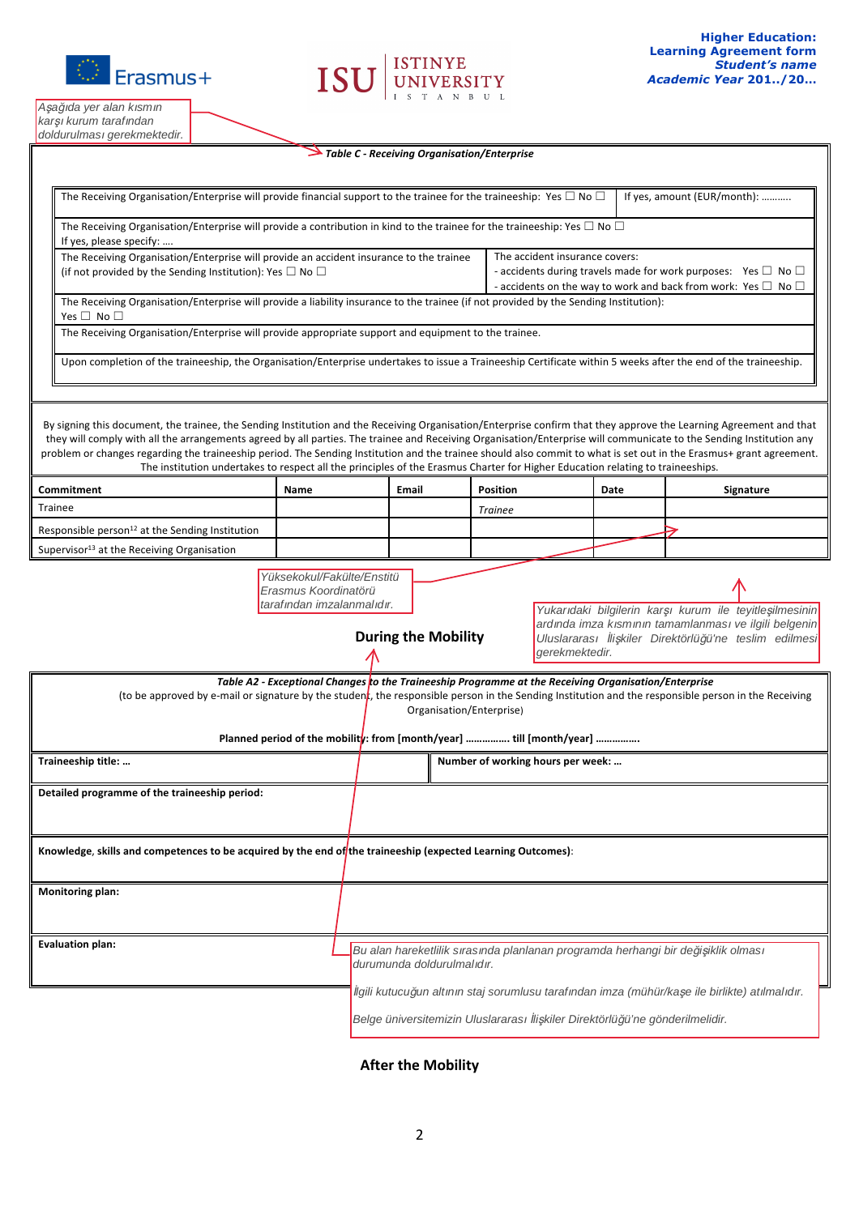

## **ISTINYE**<br>UNIVERSITY IS

 A*ş*a*ğı*da yer alan k*ı*sm*ı*n kar*şı* kurum taraf*ı*ndan doldurulmas*ı* gerekmektedir.

Ι

### *Table C - Receiving Organisation/Enterprise*

| The Receiving Organisation/Enterprise will provide financial support to the trainee for the traineeship: Yes $\Box$ No $\Box$                                                                                                                                                                                                                                                                                                                                                                                                                                                                                                                      |                                                                                                                                                                              |  |       |                            |                          |                                                                                                                                                                                            |      | If yes, amount (EUR/month):                                                                                                                                                     |  |
|----------------------------------------------------------------------------------------------------------------------------------------------------------------------------------------------------------------------------------------------------------------------------------------------------------------------------------------------------------------------------------------------------------------------------------------------------------------------------------------------------------------------------------------------------------------------------------------------------------------------------------------------------|------------------------------------------------------------------------------------------------------------------------------------------------------------------------------|--|-------|----------------------------|--------------------------|--------------------------------------------------------------------------------------------------------------------------------------------------------------------------------------------|------|---------------------------------------------------------------------------------------------------------------------------------------------------------------------------------|--|
| The Receiving Organisation/Enterprise will provide a contribution in kind to the trainee for the traineeship: Yes $\Box$ No $\Box$<br>If yes, please specify:                                                                                                                                                                                                                                                                                                                                                                                                                                                                                      |                                                                                                                                                                              |  |       |                            |                          |                                                                                                                                                                                            |      |                                                                                                                                                                                 |  |
| The Receiving Organisation/Enterprise will provide an accident insurance to the trainee<br>(if not provided by the Sending Institution): Yes $\Box$ No $\Box$                                                                                                                                                                                                                                                                                                                                                                                                                                                                                      |                                                                                                                                                                              |  |       |                            |                          | The accident insurance covers:<br>- accidents during travels made for work purposes: Yes $\square$ No $\square$<br>- accidents on the way to work and back from work: Yes $\Box$ No $\Box$ |      |                                                                                                                                                                                 |  |
| The Receiving Organisation/Enterprise will provide a liability insurance to the trainee (if not provided by the Sending Institution):<br>Yes $\Box$ No $\Box$                                                                                                                                                                                                                                                                                                                                                                                                                                                                                      |                                                                                                                                                                              |  |       |                            |                          |                                                                                                                                                                                            |      |                                                                                                                                                                                 |  |
| The Receiving Organisation/Enterprise will provide appropriate support and equipment to the trainee.                                                                                                                                                                                                                                                                                                                                                                                                                                                                                                                                               |                                                                                                                                                                              |  |       |                            |                          |                                                                                                                                                                                            |      |                                                                                                                                                                                 |  |
| Upon completion of the traineeship, the Organisation/Enterprise undertakes to issue a Traineeship Certificate within 5 weeks after the end of the traineeship.                                                                                                                                                                                                                                                                                                                                                                                                                                                                                     |                                                                                                                                                                              |  |       |                            |                          |                                                                                                                                                                                            |      |                                                                                                                                                                                 |  |
| By signing this document, the trainee, the Sending Institution and the Receiving Organisation/Enterprise confirm that they approve the Learning Agreement and that<br>they will comply with all the arrangements agreed by all parties. The trainee and Receiving Organisation/Enterprise will communicate to the Sending Institution any<br>problem or changes regarding the traineeship period. The Sending Institution and the trainee should also commit to what is set out in the Erasmus+ grant agreement.<br>The institution undertakes to respect all the principles of the Erasmus Charter for Higher Education relating to traineeships. |                                                                                                                                                                              |  |       |                            |                          |                                                                                                                                                                                            |      |                                                                                                                                                                                 |  |
| Commitment                                                                                                                                                                                                                                                                                                                                                                                                                                                                                                                                                                                                                                         | Name                                                                                                                                                                         |  | Email |                            | Position                 |                                                                                                                                                                                            | Date | Signature                                                                                                                                                                       |  |
| Trainee                                                                                                                                                                                                                                                                                                                                                                                                                                                                                                                                                                                                                                            |                                                                                                                                                                              |  |       |                            | <b>Trainee</b>           |                                                                                                                                                                                            |      |                                                                                                                                                                                 |  |
| Responsible person <sup>12</sup> at the Sending Institution                                                                                                                                                                                                                                                                                                                                                                                                                                                                                                                                                                                        |                                                                                                                                                                              |  |       |                            |                          |                                                                                                                                                                                            |      |                                                                                                                                                                                 |  |
| Supervisor <sup>13</sup> at the Receiving Organisation                                                                                                                                                                                                                                                                                                                                                                                                                                                                                                                                                                                             |                                                                                                                                                                              |  |       |                            |                          |                                                                                                                                                                                            |      |                                                                                                                                                                                 |  |
|                                                                                                                                                                                                                                                                                                                                                                                                                                                                                                                                                                                                                                                    | Erasmus Koordinatörü<br>tarafından imzalanmalıdır.                                                                                                                           |  |       | <b>During the Mobility</b> |                          | gerekmektedir.                                                                                                                                                                             |      | Yukarıdaki bilgilerin karşı kurum ile teyitleşilmesinin<br>ardında imza kısmının tamamlanması ve ilgili belgenin<br>Uluslararası İlişkiler Direktörlüğü'ne teslim edilmesi      |  |
|                                                                                                                                                                                                                                                                                                                                                                                                                                                                                                                                                                                                                                                    | Table A2 - Exceptional Changes to the Traineeship Programme at the Receiving Organisation/Enterprise<br>Planned period of the mobility: from [month/year]  till [month/year] |  |       |                            | Organisation/Enterprise) |                                                                                                                                                                                            |      | (to be approved by e-mail or signature by the student, the responsible person in the Sending Institution and the responsible person in the Receiving                            |  |
| Traineeship title:                                                                                                                                                                                                                                                                                                                                                                                                                                                                                                                                                                                                                                 |                                                                                                                                                                              |  |       |                            |                          | Number of working hours per week:                                                                                                                                                          |      |                                                                                                                                                                                 |  |
| Detailed programme of the traineeship period:                                                                                                                                                                                                                                                                                                                                                                                                                                                                                                                                                                                                      |                                                                                                                                                                              |  |       |                            |                          |                                                                                                                                                                                            |      |                                                                                                                                                                                 |  |
| Knowledge, skills and competences to be acquired by the end of the traineeship (expected Learning Outcomes):                                                                                                                                                                                                                                                                                                                                                                                                                                                                                                                                       |                                                                                                                                                                              |  |       |                            |                          |                                                                                                                                                                                            |      |                                                                                                                                                                                 |  |
| <b>Monitoring plan:</b>                                                                                                                                                                                                                                                                                                                                                                                                                                                                                                                                                                                                                            |                                                                                                                                                                              |  |       |                            |                          |                                                                                                                                                                                            |      |                                                                                                                                                                                 |  |
|                                                                                                                                                                                                                                                                                                                                                                                                                                                                                                                                                                                                                                                    |                                                                                                                                                                              |  |       |                            |                          |                                                                                                                                                                                            |      |                                                                                                                                                                                 |  |
| <b>Evaluation plan:</b>                                                                                                                                                                                                                                                                                                                                                                                                                                                                                                                                                                                                                            |                                                                                                                                                                              |  |       | durumunda doldurulmalıdır. |                          |                                                                                                                                                                                            |      | Bu alan hareketlilik sırasında planlanan programda herhangi bir değişiklik olması                                                                                               |  |
|                                                                                                                                                                                                                                                                                                                                                                                                                                                                                                                                                                                                                                                    |                                                                                                                                                                              |  |       |                            |                          |                                                                                                                                                                                            |      | İlgili kutucuğun altının staj sorumlusu tarafından imza (mühür/kaşe ile birlikte) atılmalıdır.<br>Belge üniversitemizin Uluslararası İlişkiler Direktörlüğü'ne gönderilmelidir. |  |

#### **After the Mobility**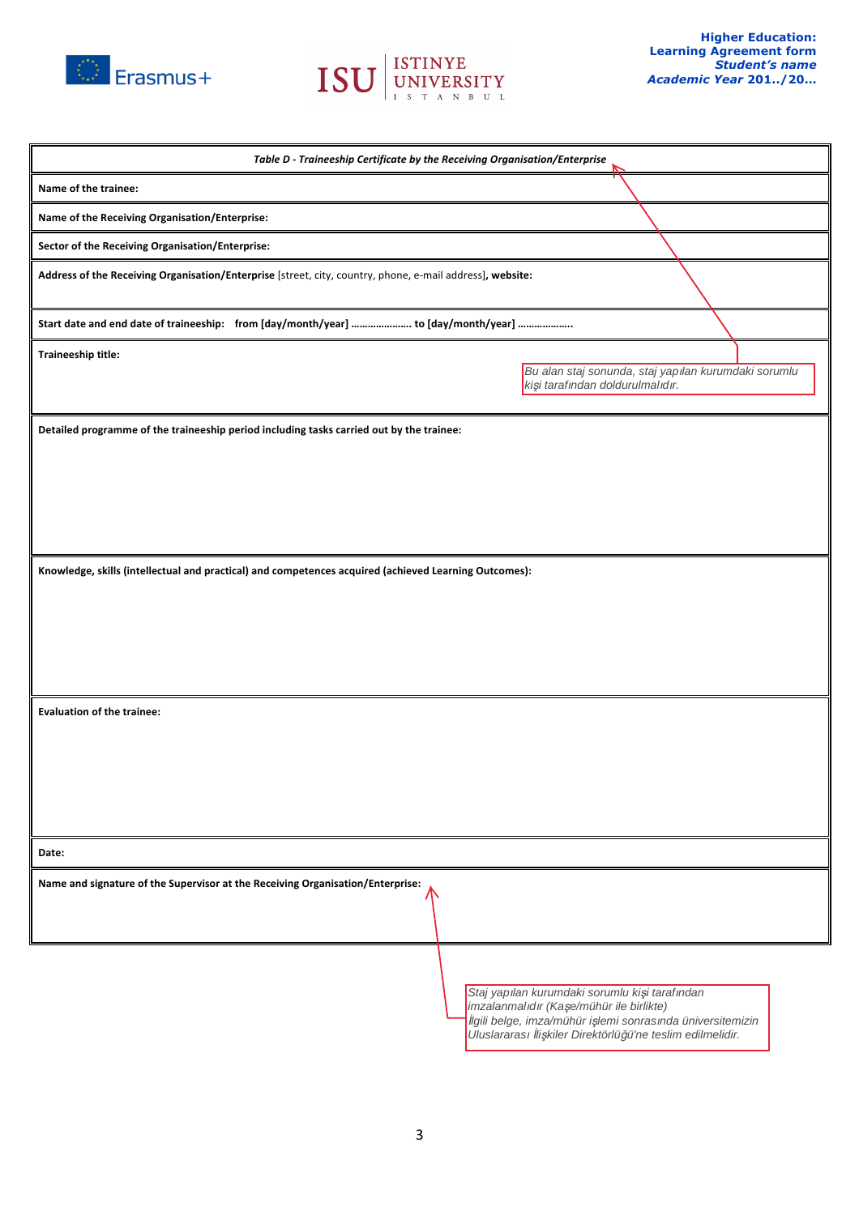

# **ISTINYE**<br>UNIVERSITY ISI

| Table D - Traineeship Certificate by the Receiving Organisation/Enterprise                                |                                                                                                        |  |  |  |  |
|-----------------------------------------------------------------------------------------------------------|--------------------------------------------------------------------------------------------------------|--|--|--|--|
| Name of the trainee:                                                                                      |                                                                                                        |  |  |  |  |
| Name of the Receiving Organisation/Enterprise:                                                            |                                                                                                        |  |  |  |  |
| Sector of the Receiving Organisation/Enterprise:                                                          |                                                                                                        |  |  |  |  |
| Address of the Receiving Organisation/Enterprise [street, city, country, phone, e-mail address], website: |                                                                                                        |  |  |  |  |
| Start date and end date of traineeship: from [day/month/year]  to [day/month/year]                        |                                                                                                        |  |  |  |  |
| Traineeship title:                                                                                        | Bu alan staj sonunda, staj yapılan kurumdaki sorumlu<br>kişi tarafından doldurulmalıdır.               |  |  |  |  |
| Detailed programme of the traineeship period including tasks carried out by the trainee:                  |                                                                                                        |  |  |  |  |
|                                                                                                           |                                                                                                        |  |  |  |  |
|                                                                                                           |                                                                                                        |  |  |  |  |
|                                                                                                           |                                                                                                        |  |  |  |  |
|                                                                                                           |                                                                                                        |  |  |  |  |
| Knowledge, skills (intellectual and practical) and competences acquired (achieved Learning Outcomes):     |                                                                                                        |  |  |  |  |
|                                                                                                           |                                                                                                        |  |  |  |  |
|                                                                                                           |                                                                                                        |  |  |  |  |
|                                                                                                           |                                                                                                        |  |  |  |  |
|                                                                                                           |                                                                                                        |  |  |  |  |
| <b>Evaluation of the trainee:</b>                                                                         |                                                                                                        |  |  |  |  |
|                                                                                                           |                                                                                                        |  |  |  |  |
|                                                                                                           |                                                                                                        |  |  |  |  |
|                                                                                                           |                                                                                                        |  |  |  |  |
|                                                                                                           |                                                                                                        |  |  |  |  |
| Date:                                                                                                     |                                                                                                        |  |  |  |  |
| Name and signature of the Supervisor at the Receiving Organisation/Enterprise:                            |                                                                                                        |  |  |  |  |
|                                                                                                           |                                                                                                        |  |  |  |  |
|                                                                                                           |                                                                                                        |  |  |  |  |
|                                                                                                           |                                                                                                        |  |  |  |  |
|                                                                                                           | Staj yapılan kurumdaki sorumlu kişi tarafından                                                         |  |  |  |  |
|                                                                                                           | imzalanmalıdır (Kaşe/mühür ile birlikte)<br>İlgili belge, imza/mühür işlemi sonrasında üniversitemizin |  |  |  |  |

3

Uluslararas*ı İ*li*ş*kiler Direktörlü*ğ*ü'ne teslim edilmelidir.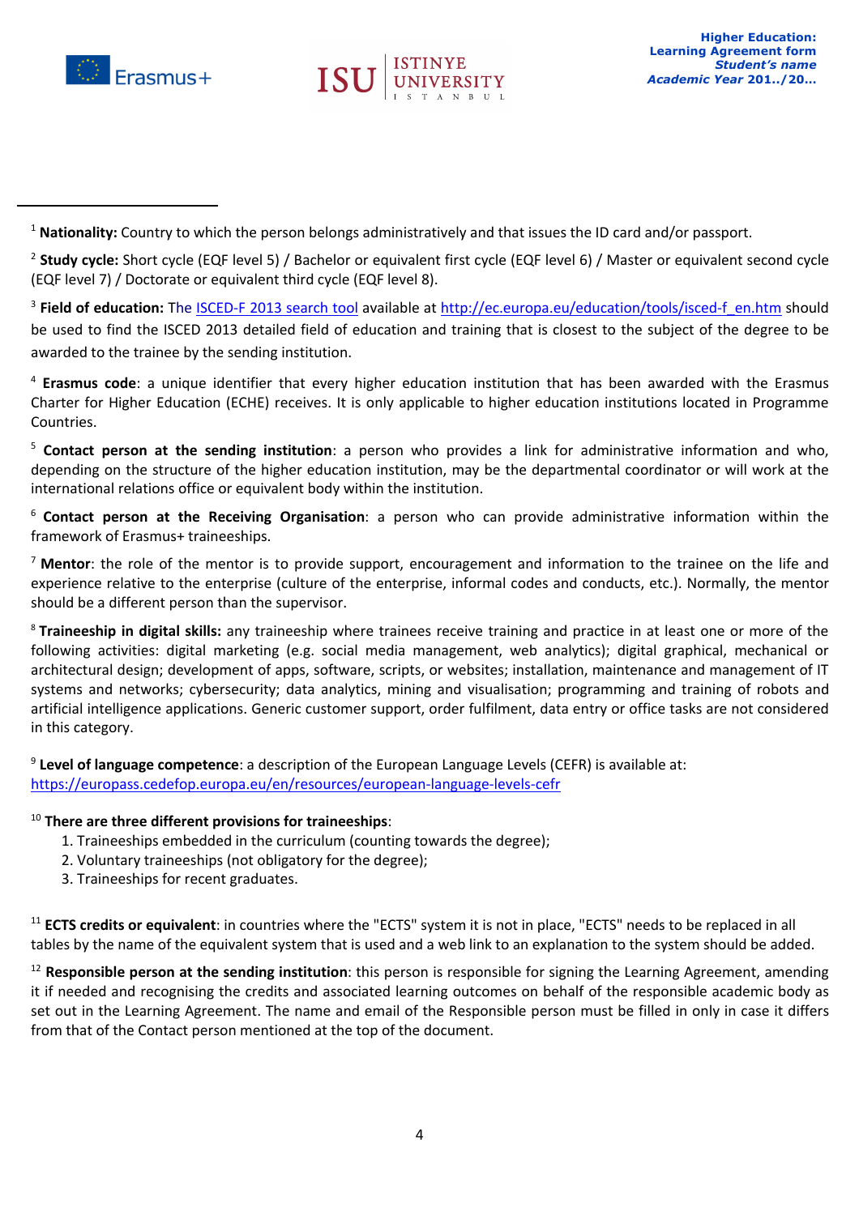



<sup>1</sup> Nationality: Country to which the person belongs administratively and that issues the ID card and/or passport.

<sup>2</sup> **Study cycle:** Short cycle (EQF level 5) / Bachelor or equivalent first cycle (EQF level 6) / Master or equivalent second cycle (EQF level 7) / Doctorate or equivalent third cycle (EQF level 8).

<sup>3</sup> Field of education: The ISCED-F 2013 search tool available at http://ec.europa.eu/education/tools/isced-f\_en.htm should be used to find the ISCED 2013 detailed field of education and training that is closest to the subject of the degree to be awarded to the trainee by the sending institution.

<sup>4</sup> **Erasmus code**: a unique identifier that every higher education institution that has been awarded with the Erasmus Charter for Higher Education (ECHE) receives. It is only applicable to higher education institutions located in Programme Countries.

<sup>5</sup> **Contact person at the sending institution**: a person who provides a link for administrative information and who, depending on the structure of the higher education institution, may be the departmental coordinator or will work at the international relations office or equivalent body within the institution.

<sup>6</sup> **Contact person at the Receiving Organisation**: a person who can provide administrative information within the framework of Erasmus+ traineeships.

<sup>7</sup> **Mentor**: the role of the mentor is to provide support, encouragement and information to the trainee on the life and experience relative to the enterprise (culture of the enterprise, informal codes and conducts, etc.). Normally, the mentor should be a different person than the supervisor.

<sup>8</sup>**Traineeship in digital skills:** any traineeship where trainees receive training and practice in at least one or more of the following activities: digital marketing (e.g. social media management, web analytics); digital graphical, mechanical or architectural design; development of apps, software, scripts, or websites; installation, maintenance and management of IT systems and networks; cybersecurity; data analytics, mining and visualisation; programming and training of robots and artificial intelligence applications. Generic customer support, order fulfilment, data entry or office tasks are not considered in this category.

<sup>9</sup> **Level of language competence**: a description of the European Language Levels (CEFR) is available at: https://europass.cedefop.europa.eu/en/resources/european-language-levels-cefr

### <sup>10</sup> **There are three different provisions for traineeships**:

- 1. Traineeships embedded in the curriculum (counting towards the degree);
- 2. Voluntary traineeships (not obligatory for the degree);
- 3. Traineeships for recent graduates.

<sup>11</sup> **ECTS credits or equivalent**: in countries where the "ECTS" system it is not in place, "ECTS" needs to be replaced in all tables by the name of the equivalent system that is used and a web link to an explanation to the system should be added.

<sup>12</sup> **Responsible person at the sending institution**: this person is responsible for signing the Learning Agreement, amending it if needed and recognising the credits and associated learning outcomes on behalf of the responsible academic body as set out in the Learning Agreement. The name and email of the Responsible person must be filled in only in case it differs from that of the Contact person mentioned at the top of the document.